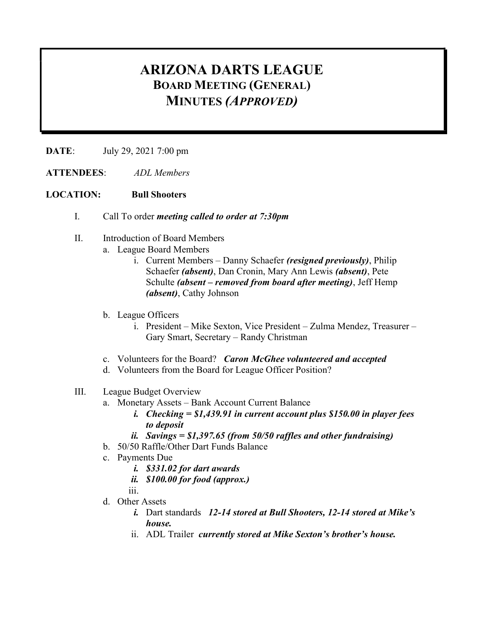## ARIZONA DARTS LEAGUE BOARD MEETING (GENERAL) MINUTES (APPROVED)

DATE: July 29, 2021 7:00 pm

ATTENDEES: ADL Members

## LOCATION: Bull Shooters

- I. Call To order meeting called to order at 7:30pm
- II. Introduction of Board Members
	- a. League Board Members
		- i. Current Members Danny Schaefer *(resigned previously)*, Philip Schaefer (absent), Dan Cronin, Mary Ann Lewis (absent), Pete Schulte (absent – removed from board after meeting), Jeff Hemp (*absent*), Cathy Johnson
	- b. League Officers
		- i. President Mike Sexton, Vice President Zulma Mendez, Treasurer Gary Smart, Secretary – Randy Christman
	- c. Volunteers for the Board? Caron McGhee volunteered and accepted
	- d. Volunteers from the Board for League Officer Position?

## III. League Budget Overview

- a. Monetary Assets Bank Account Current Balance
	- i. Checking  $= $1,439.91$  in current account plus \$150.00 in player fees to deposit
	- ii. Savings =  $$1,397.65$  (from  $50/50$  raffles and other fundraising)
- b. 50/50 Raffle/Other Dart Funds Balance
- c. Payments Due
	- i. \$331.02 for dart awards
		- ii. \$100.00 for food (approx.)
	- iii.
- d. Other Assets
	- i. Dart standards 12-14 stored at Bull Shooters, 12-14 stored at Mike's house.
	- ii. ADL Trailer currently stored at Mike Sexton's brother's house.